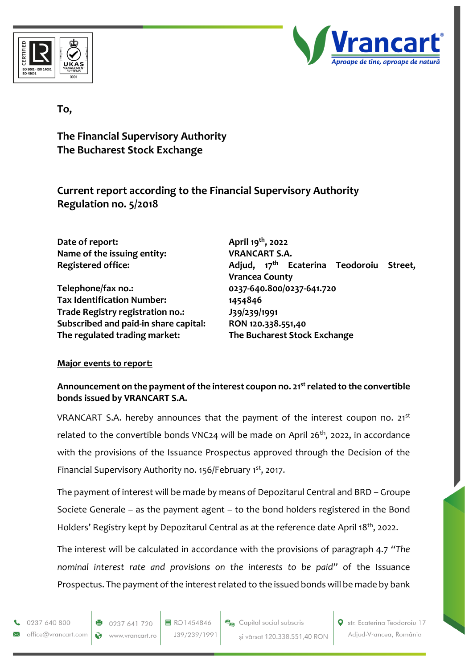



# **To,**

**The Financial Supervisory Authority The Bucharest Stock Exchange**

**Current report according to the Financial Supervisory Authority Regulation no. 5/2018**

| Date of report:                       | April 19 <sup>th</sup> , 2022                                                   |
|---------------------------------------|---------------------------------------------------------------------------------|
| Name of the issuing entity:           | <b>VRANCART S.A.</b>                                                            |
| <b>Registered office:</b>             | Adjud, 17 <sup>th</sup> Ecaterina Teodoroiu<br>Street,<br><b>Vrancea County</b> |
| Telephone/fax no.:                    | 0237-640.800/0237-641.720                                                       |
| <b>Tax Identification Number:</b>     | 1454846                                                                         |
| Trade Registry registration no.:      | J39/239/1991                                                                    |
| Subscribed and paid-in share capital: | RON 120.338.551,40                                                              |
| The regulated trading market:         | The Bucharest Stock Exchange                                                    |

## **Major events to report:**

### **Announcement on the payment of the interest coupon no. 21strelated to the convertible bonds issued by VRANCART S.A.**

VRANCART S.A. hereby announces that the payment of the interest coupon no. 21<sup>st</sup> related to the convertible bonds VNC24 will be made on April 26<sup>th</sup>, 2022, in accordance with the provisions of the Issuance Prospectus approved through the Decision of the Financial Supervisory Authority no. 156/February 1st, 2017.

The payment of interest will be made by means of Depozitarul Central and BRD – Groupe Societe Generale – as the payment agent – to the bond holders registered in the Bond Holders' Registry kept by Depozitarul Central as at the reference date April 18th, 2022.

The interest will be calculated in accordance with the provisions of paragraph 4.7 *"The nominal interest rate and provisions on the interests to be paid"* of the Issuance Prospectus. The payment of the interest related to the issued bonds will be made by bank

0237 640 800